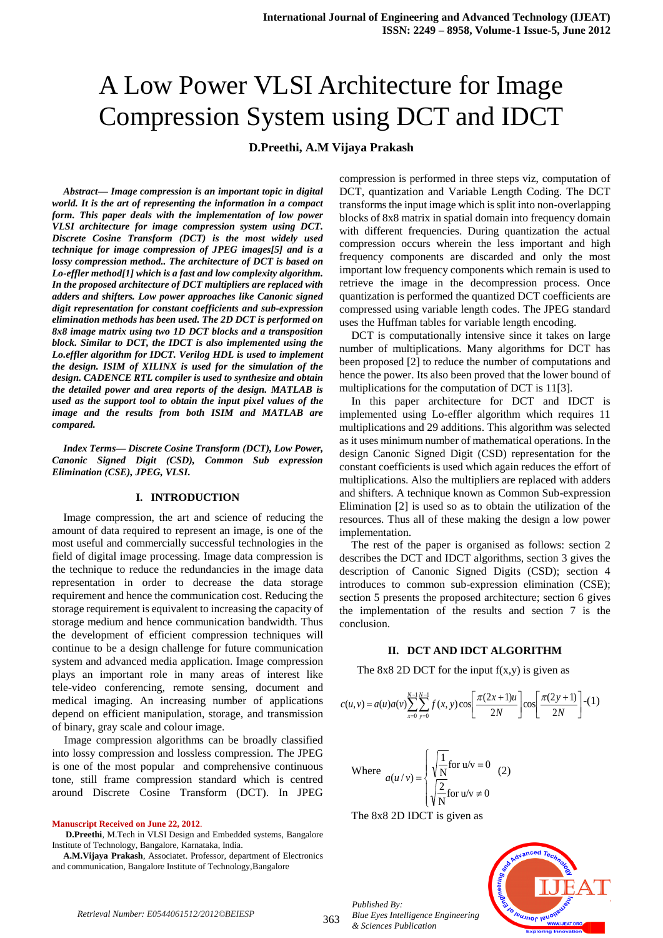# A Low Power VLSI Architecture for Image Compression System using DCT and IDCT

## **D.Preethi, A.M Vijaya Prakash**

*Abstract— Image compression is an important topic in digital world. It is the art of representing the information in a compact form. This paper deals with the implementation of low power VLSI architecture for image compression system using DCT. Discrete Cosine Transform (DCT) is the most widely used technique for image compression of JPEG images[5] and is a lossy compression method.. The architecture of DCT is based on Lo-effler method[1] which is a fast and low complexity algorithm. In the proposed architecture of DCT multipliers are replaced with adders and shifters. Low power approaches like Canonic signed digit representation for constant coefficients and sub-expression elimination methods has been used. The 2D DCT is performed on 8x8 image matrix using two 1D DCT blocks and a transposition block. Similar to DCT, the IDCT is also implemented using the Lo.effler algorithm for IDCT. Verilog HDL is used to implement the design. ISIM of XILINX is used for the simulation of the design. CADENCE RTL compiler is used to synthesize and obtain the detailed power and area reports of the design. MATLAB is used as the support tool to obtain the input pixel values of the image and the results from both ISIM and MATLAB are compared.*

*Index Terms— Discrete Cosine Transform (DCT), Low Power, Canonic Signed Digit (CSD), Common Sub expression Elimination (CSE), JPEG, VLSI.*

#### **I. INTRODUCTION**

Image compression, the art and science of reducing the amount of data required to represent an image, is one of the most useful and commercially successful technologies in the field of digital image processing. Image data compression is the technique to reduce the redundancies in the image data representation in order to decrease the data storage requirement and hence the communication cost. Reducing the storage requirement is equivalent to increasing the capacity of storage medium and hence communication bandwidth. Thus the development of efficient compression techniques will continue to be a design challenge for future communication system and advanced media application. Image compression plays an important role in many areas of interest like tele-video conferencing, remote sensing, document and medical imaging. An increasing number of applications depend on efficient manipulation, storage, and transmission of binary, gray scale and colour image.

Image compression algorithms can be broadly classified into lossy compression and lossless compression. The JPEG is one of the most popular and comprehensive continuous tone, still frame compression standard which is centred around Discrete Cosine Transform (DCT). In JPEG

**Manuscript Received on June 22, 2012**.

**D.Preethi**, M.Tech in VLSI Design and Embedded systems, Bangalore Institute of Technology, Bangalore, Karnataka, India.

**A.M.Vijaya Prakash**, Associatet. Professor, department of Electronics and communication, Bangalore Institute of Technology,Bangalore

compression is performed in three steps viz, computation of DCT, quantization and Variable Length Coding. The DCT transforms the input image which is split into non-overlapping blocks of 8x8 matrix in spatial domain into frequency domain with different frequencies. During quantization the actual compression occurs wherein the less important and high frequency components are discarded and only the most important low frequency components which remain is used to retrieve the image in the decompression process. Once quantization is performed the quantized DCT coefficients are compressed using variable length codes. The JPEG standard uses the Huffman tables for variable length encoding.

DCT is computationally intensive since it takes on large number of multiplications. Many algorithms for DCT has been proposed [2] to reduce the number of computations and hence the power. Its also been proved that the lower bound of multiplications for the computation of DCT is 11[3].

In this paper architecture for DCT and IDCT is implemented using Lo-effler algorithm which requires 11 multiplications and 29 additions. This algorithm was selected as it uses minimum number of mathematical operations. In the design Canonic Signed Digit (CSD) representation for the constant coefficients is used which again reduces the effort of multiplications. Also the multipliers are replaced with adders and shifters. A technique known as Common Sub-expression Elimination [2] is used so as to obtain the utilization of the resources. Thus all of these making the design a low power implementation.

The rest of the paper is organised as follows: section 2 describes the DCT and IDCT algorithms, section 3 gives the description of Canonic Signed Digits (CSD); section 4 introduces to common sub-expression elimination (CSE); section 5 presents the proposed architecture; section 6 gives the implementation of the results and section 7 is the conclusion.

## **II. DCT AND IDCT ALGORITHM**

The 8x8 2D DCT for the input  $f(x,y)$  is given as

$$
c(u, v) = a(u)a(v)\sum_{x=0}^{N-1}\sum_{y=0}^{N-1}f(x, y)\cos\left[\frac{\pi(2x+1)u}{2N}\right]\cos\left[\frac{\pi(2y+1)}{2N}\right] - (1)
$$

Where 
$$
a(u/v) = \begin{cases} \sqrt{\frac{1}{N}} \text{for } u/v = 0 \\ \sqrt{\frac{2}{N}} \text{for } u/v \neq 0 \end{cases}
$$
 (2)

The 8x8 2D IDCT is given as



*Published By:*

*& Sciences Publication*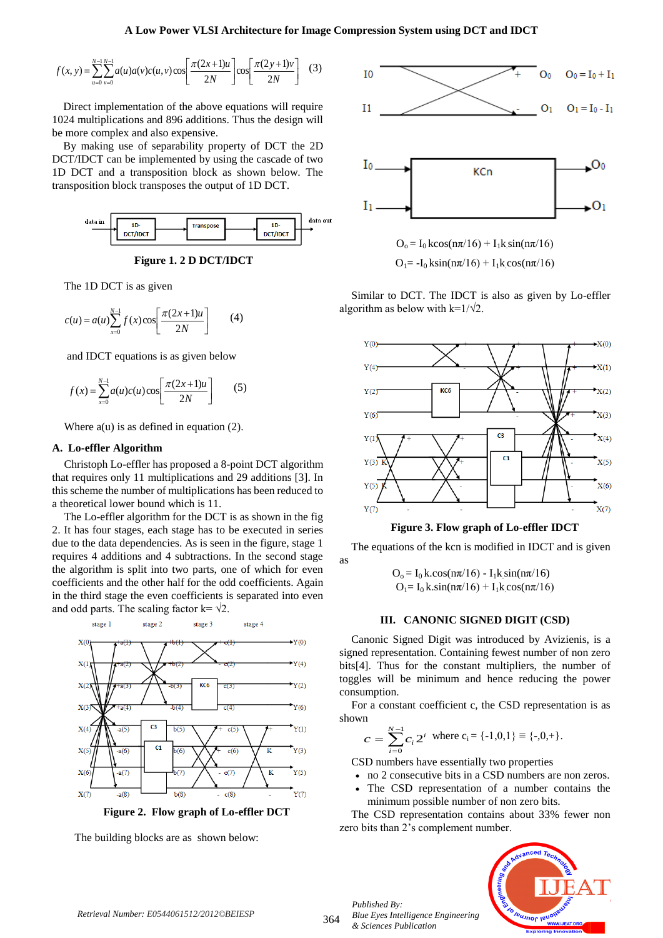$$
f(x, y) = \sum_{u=0}^{N-1} \sum_{v=0}^{N-1} a(u)a(v)c(u, v)\cos\left[\frac{\pi(2x+1)u}{2N}\right]\cos\left[\frac{\pi(2y+1)v}{2N}\right] \quad (3)
$$

Direct implementation of the above equations will require 1024 multiplications and 896 additions. Thus the design will be more complex and also expensive.

By making use of separability property of DCT the 2D DCT/IDCT can be implemented by using the cascade of two 1D DCT and a transposition block as shown below. The transposition block transposes the output of 1D DCT.



**Figure 1. 2 D DCT/IDCT**

The 1D DCT is as given

$$
c(u) = a(u) \sum_{x=0}^{N-1} f(x) \cos \left[ \frac{\pi (2x+1)u}{2N} \right]
$$
 (4)

and IDCT equations is as given below

$$
f(x) = \sum_{x=0}^{N-1} a(u)c(u)\cos\left[\frac{\pi(2x+1)u}{2N}\right]
$$
 (5)

Where  $a(u)$  is as defined in equation (2).

#### **A. Lo-effler Algorithm**

Christoph Lo-effler has proposed a 8-point DCT algorithm that requires only 11 multiplications and 29 additions [3]. In this scheme the number of multiplications has been reduced to a theoretical lower bound which is 11.

The Lo-effler algorithm for the DCT is as shown in the fig 2. It has four stages, each stage has to be executed in series due to the data dependencies. As is seen in the figure, stage 1 requires 4 additions and 4 subtractions. In the second stage the algorithm is split into two parts, one of which for even coefficients and the other half for the odd coefficients. Again in the third stage the even coefficients is separated into even and odd parts. The scaling factor k=  $\sqrt{2}$ .



 **Figure 2. Flow graph of Lo-effler DCT**

The building blocks are as shown below:







Similar to DCT. The IDCT is also as given by Lo-effler algorithm as below with k= $1/\sqrt{2}$ .



**Figure 3. Flow graph of Lo-effler IDCT**

The equations of the kcn is modified in IDCT and is given

 $O_0 = I_0 k \cdot \cos(n\pi/16) - I_1 k \cdot \sin(n\pi/16)$  $O_1 = I_0 k \sin(n\pi/16) + I_1 k \cos(n\pi/16)$ 

## **III. CANONIC SIGNED DIGIT (CSD)**

Canonic Signed Digit was introduced by Avizienis, is a signed representation. Containing fewest number of non zero bits[4]. Thus for the constant multipliers, the number of toggles will be minimum and hence reducing the power consumption.

For a constant coefficient c, the CSD representation is as shown

$$
c = \sum_{i=0}^{N-1} c_i 2^i \text{ where } c_i = \{-1, 0, 1\} \equiv \{-0, +\}.
$$

CSD numbers have essentially two properties

- no 2 consecutive bits in a CSD numbers are non zeros.
- The CSD representation of a number contains the minimum possible number of non zero bits.

The CSD representation contains about 33% fewer non zero bits than 2's complement number.



364

as

*Published By:*

*& Sciences Publication* 

*Blue Eyes Intelligence Engineering*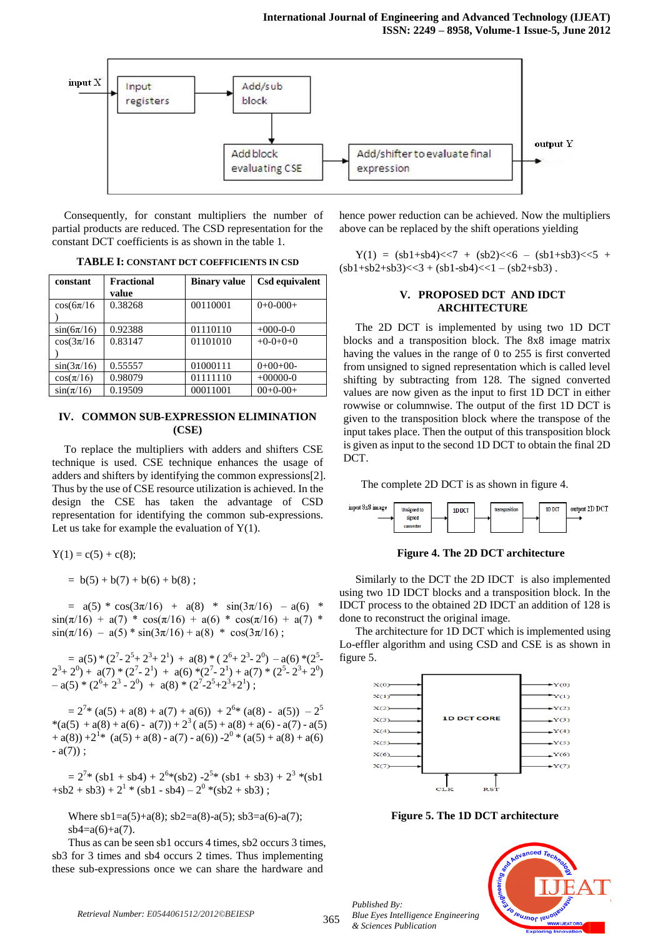

Consequently, for constant multipliers the number of partial products are reduced. The CSD representation for the constant DCT coefficients is as shown in the table 1.

**TABLE I: CONSTANT DCT COEFFICIENTS IN CSD**

| constant        | <b>Fractional</b> | <b>Binary value</b> | Csd equivalent |
|-----------------|-------------------|---------------------|----------------|
|                 | value             |                     |                |
| $\cos(6\pi/16)$ | 0.38268           | 00110001            | $0+0-000+$     |
|                 |                   |                     |                |
| $sin(6\pi/16)$  | 0.92388           | 01110110            | $+000-0-0$     |
| $\cos(3\pi/16)$ | 0.83147           | 01101010            | $+0-0+0+0$     |
|                 |                   |                     |                |
| $sin(3\pi/16)$  | 0.55557           | 01000111            | $0+00+00-$     |
| $\cos(\pi/16)$  | 0.98079           | 01111110            | $+00000-0$     |
| $sin(\pi/16)$   | 0.19509           | 00011001            | $00+0-00+$     |

## **IV. COMMON SUB-EXPRESSION ELIMINATION (CSE)**

To replace the multipliers with adders and shifters CSE technique is used. CSE technique enhances the usage of adders and shifters by identifying the common expressions[2]. Thus by the use of CSE resource utilization is achieved. In the design the CSE has taken the advantage of CSD representation for identifying the common sub-expressions. Let us take for example the evaluation of  $Y(1)$ .

 $Y(1) = c(5) + c(8);$ 

 $= b(5) + b(7) + b(6) + b(8)$ ;

 $=$  a(5) \* cos(3 $\pi$ /16) + a(8) \* sin(3 $\pi$ /16) – a(6) \*  $\sin(\pi/16) + a(7) * \cos(\pi/16) + a(6) * \cos(\pi/16) + a(7) *$  $sin(\pi/16) - a(5) * sin(3\pi/16) + a(8) * cos(3\pi/16)$ ;

=  $a(5) * (2^7 - 2^5 + 2^3 + 2^1) + a(8) * (2^6 + 2^3 - 2^0) - a(6) * (2^5 2^3+2^0$  + a(7) \* (2<sup>7</sup>-2<sup>1</sup>) + a(6) \*(2<sup>7</sup>-2<sup>1</sup>) + a(7) \* (2<sup>5</sup>-2<sup>3</sup>+2<sup>0</sup>)  $- a(5) * (2^6 + 2^3 - 2^0) + a(8) * (2^7 - 2^5 + 2^3 + 2^1);$ 

 $= 2^{7} * (a(5) + a(8) + a(7) + a(6)) + 2^{6} * (a(8) - a(5)) - 2^{5}$ \*(a(5) + a(8) + a(6) - a(7)) + 2<sup>3</sup>(a(5) + a(8) + a(6) - a(7) - a(5)  $+ a(8) + 2<sup>1</sup>* (a(5) + a(8) - a(7) - a(6)) - 2<sup>0</sup> * (a(5) + a(8) + a(6))$  $- a(7)$  ;

 $= 2^{7}$ \* (sb1 + sb4) +  $2^{6}$ \*(sb2) - $2^{5}$ \* (sb1 + sb3) +  $2^{3}$ \*(sb1  $+sb2+sb3)+2^{1}*(sb1-sb4)-2^{0}*(sb2+sb3);$ 

Where  $sb1=a(5)+a(8)$ ;  $sb2=a(8)-a(5)$ ;  $sb3=a(6)-a(7)$ ;  $sb4=a(6)+a(7)$ .

Thus as can be seen sb1 occurs 4 times, sb2 occurs 3 times, sb3 for 3 times and sb4 occurs 2 times. Thus implementing these sub-expressions once we can share the hardware and

hence power reduction can be achieved. Now the multipliers above can be replaced by the shift operations yielding

 $Y(1) = (sb1+sb4) \leq 7 + (sb2) \leq 6 - (sb1+sb3) \leq 5 +$  $(\text{s}b1+\text{s}b2+\text{s}b3)$  <  $3 + (\text{s}b1-\text{s}b4)$  <  $1 - (\text{s}b2+\text{s}b3)$ .

## **V. PROPOSED DCT AND IDCT ARCHITECTURE**

The 2D DCT is implemented by using two 1D DCT blocks and a transposition block. The 8x8 image matrix having the values in the range of 0 to 255 is first converted from unsigned to signed representation which is called level shifting by subtracting from 128. The signed converted values are now given as the input to first 1D DCT in either rowwise or columnwise. The output of the first 1D DCT is given to the transposition block where the transpose of the input takes place. Then the output of this transposition block is given as input to the second 1D DCT to obtain the final 2D DCT.

The complete 2D DCT is as shown in figure 4.



**Figure 4. The 2D DCT architecture**

Similarly to the DCT the 2D IDCT is also implemented using two 1D IDCT blocks and a transposition block. In the IDCT process to the obtained 2D IDCT an addition of 128 is done to reconstruct the original image.

The architecture for 1D DCT which is implemented using Lo-effler algorithm and using CSD and CSE is as shown in figure 5.



**Figure 5. The 1D DCT architecture**

*Published By: Blue Eyes Intelligence Engineering & Sciences Publication* 

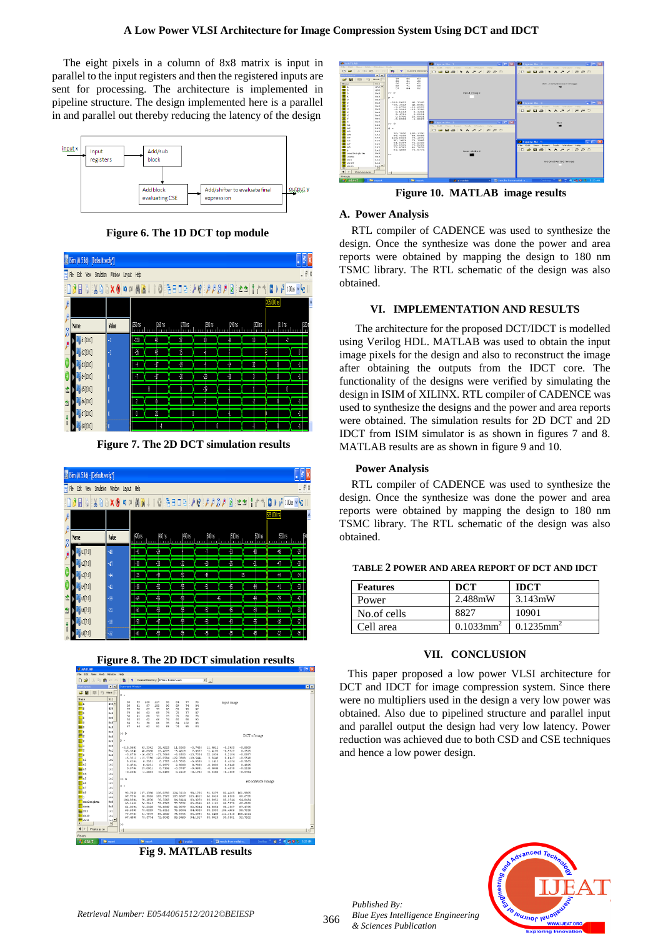The eight pixels in a column of 8x8 matrix is input in parallel to the input registers and then the registered inputs are sent for processing. The architecture is implemented in pipeline structure. The design implemented here is a parallel in and parallel out thereby reducing the latency of the design



**Figure 6. The 1D DCT top module**

| Sim (M.53d) - [Default.wcfg"] |                                              |       |                          |               |                    |                |        |       |            |       |
|-------------------------------|----------------------------------------------|-------|--------------------------|---------------|--------------------|----------------|--------|-------|------------|-------|
|                               | File Edit View Simulation Window Layout Help |       |                          |               |                    |                |        |       |            | $-7x$ |
| }∂B ∛∷₩à®×®∣¤∾                |                                              |       |                          |               |                    |                |        |       |            |       |
|                               |                                              |       |                          |               |                    |                |        |       | 305,000 hs |       |
| Ø                             | Name                                         | Value | (250 ns                  | <b>250 ns</b> | $270\,\mathrm{ns}$ | 280 ns         | 290 rs | COORS | 1310 ns    | 30    |
|                               | dt[10:0]                                     | -2    | $\overline{30}$          | ĥ             | Ø                  | IJ             |        | Ń     | $\sqrt{2}$ |       |
|                               | 【10:0】                                       | $-2$  | $\overline{\cdot \cdot}$ | 9             | 16                 | -6             |        |       |            | Û     |
|                               | d3[10:0]                                     |       | 4                        | 47            | -19                | Ą              | -14    | Ÿ     |            | 4     |
|                               | d4[10:0]                                     |       | 7                        | -17           | $\sqrt{2}$         | $\overline{v}$ | 机      |       |            | 4     |
|                               | d[10:0]                                      |       |                          | 8             |                    | -19            |        |       |            |       |
| 雪                             | 6 (10:0)                                     |       | $\overline{c}$           |               |                    |                |        | Ą     |            | H     |
|                               | $ d$ $ 10:0 $                                |       | 0                        | Ż             | Ñ                  |                |        |       |            | 4     |
|                               | d0[10:0]                                     | IO    |                          | Ч             |                    | O              |        |       |            | 4     |

**Figure 7. The 2D DCT simulation results**







**Fig 9. MATLAB results**



**Figure 10. MATLAB image results**

## **A. Power Analysis**

RTL compiler of CADENCE was used to synthesize the design. Once the synthesize was done the power and area reports were obtained by mapping the design to 180 nm TSMC library. The RTL schematic of the design was also obtained.

## **VI. IMPLEMENTATION AND RESULTS**

The architecture for the proposed DCT/IDCT is modelled using Verilog HDL. MATLAB was used to obtain the input image pixels for the design and also to reconstruct the image after obtaining the outputs from the IDCT core. The functionality of the designs were verified by simulating the design in ISIM of XILINX. RTL compiler of CADENCE was used to synthesize the designs and the power and area reports were obtained. The simulation results for 2D DCT and 2D IDCT from ISIM simulator is as shown in figures 7 and 8. MATLAB results are as shown in figure 9 and 10.

## **Power Analysis**

RTL compiler of CADENCE was used to synthesize the design. Once the synthesize was done the power and area reports were obtained by mapping the design to 180 nm TSMC library. The RTL schematic of the design was also obtained.

| <b>Features</b> | <b>DCT</b>               | <b>IDCT</b>              |
|-----------------|--------------------------|--------------------------|
| Power           | 2.488mW                  | $3.143 \text{mW}$        |
| No.of cells     | 8827                     | 10901                    |
| Cell area       | $0.1033$ mm <sup>2</sup> | $0.1235$ mm <sup>2</sup> |

#### **TABLE 2 POWER AND AREA REPORT OF DCT AND IDCT**

#### **VII. CONCLUSION**

 This paper proposed a low power VLSI architecture for DCT and IDCT for image compression system. Since there were no multipliers used in the design a very low power was obtained. Also due to pipelined structure and parallel input and parallel output the design had very low latency. Power reduction was achieved due to both CSD and CSE techniques and hence a low power design.



*Published By:*

*& Sciences Publication* 

*Blue Eyes Intelligence Engineering*